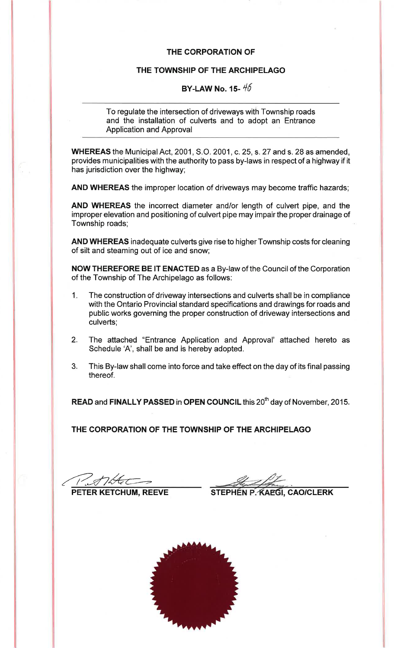#### THE CORPORATION OF

### THE TOWNSHIP OF THE ARCHIPELAGO

# BY-LAW No. 15- $45$

To regulate the intersection of driveways with Township roads and the installation of culverts and to adopt an Entrance **Application and Approval** 

WHEREAS the Municipal Act, 2001, S.O. 2001, c. 25, s. 27 and s. 28 as amended, provides municipalities with the authority to pass by-laws in respect of a highway if it has jurisdiction over the highway;

AND WHEREAS the improper location of driveways may become traffic hazards;

AND WHEREAS the incorrect diameter and/or length of culvert pipe, and the improper elevation and positioning of culvert pipe may impair the proper drainage of Township roads;

AND WHEREAS inadequate culverts give rise to higher Township costs for cleaning of silt and steaming out of ice and snow;

NOW THEREFORE BE IT ENACTED as a By-law of the Council of the Corporation of the Township of The Archipelago as follows:

- The construction of driveway intersections and culverts shall be in compliance  $1.$ with the Ontario Provincial standard specifications and drawings for roads and public works governing the proper construction of driveway intersections and culverts:
- The attached "Entrance Application and Approval' attached hereto as  $2.$ Schedule 'A', shall be and is hereby adopted.
- $3<sub>1</sub>$ This By-law shall come into force and take effect on the day of its final passing thereof.

READ and FINALLY PASSED in OPEN COUNCIL this 20<sup>th</sup> day of November, 2015.

THE CORPORATION OF THE TOWNSHIP OF THE ARCHIPELAGO

ATHA PETER KETCHUM, REEVE

STEPHEN P. KAEGI, CAO/CLERK

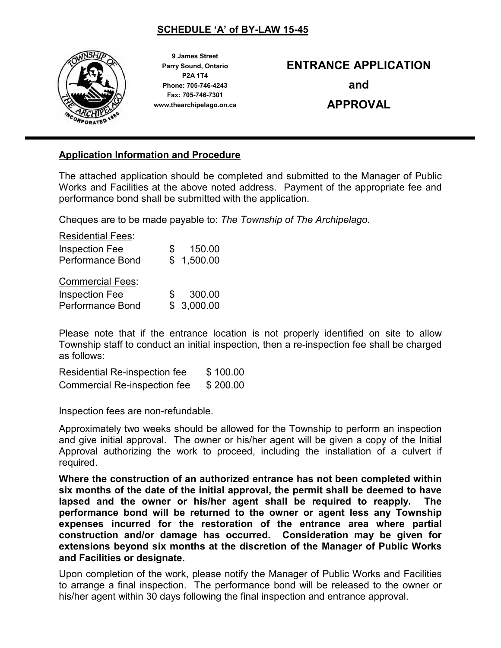### SCHEDULE 'A' of BY-LAW 15-45



9 James Street Parry Sound, Ontario P2A 1T4 Phone: 705-746-4243 Fax: 705-746-7301 www.thearchipelago.on.ca

# ENTRANCE APPLICATION

and

# APPROVAL

### Application Information and Procedure

The attached application should be completed and submitted to the Manager of Public Works and Facilities at the above noted address. Payment of the appropriate fee and performance bond shall be submitted with the application.

Cheques are to be made payable to: *The Township of The Archipelago.* 

| <b>Residential Fees:</b> |   |            |
|--------------------------|---|------------|
| <b>Inspection Fee</b>    | S | 150.00     |
| <b>Performance Bond</b>  |   | \$1,500.00 |
| <b>Commercial Fees:</b>  |   |            |
| <b>Inspection Fee</b>    | S | 300.00     |
| <b>Performance Bond</b>  |   | \$3,000.00 |

Please note that if the entrance location is not properly identified on site to allow Township staff to conduct an initial inspection, then a re-inspection fee shall be charged as follows:

Residential Re-inspection fee \$ 100.00 Commercial Re-inspection fee \$ 200.00

Inspection fees are non-refundable.

Approximately two weeks should be allowed for the Township to perform an inspection and give initial approval. The owner or his/her agent will be given a copy of the Initial Approval authorizing the work to proceed, including the installation of a culvert if required.

Where the construction of an authorized entrance has not been completed within six months of the date of the initial approval, the permit shall be deemed to have lapsed and the owner or his/her agent shall be required to reapply. The performance bond will be returned to the owner or agent less any Township expenses incurred for the restoration of the entrance area where partial construction and/or damage has occurred. Consideration may be given for extensions beyond six months at the discretion of the Manager of Public Works and Facilities or designate.

Upon completion of the work, please notify the Manager of Public Works and Facilities to arrange a final inspection. The performance bond will be released to the owner or his/her agent within 30 days following the final inspection and entrance approval.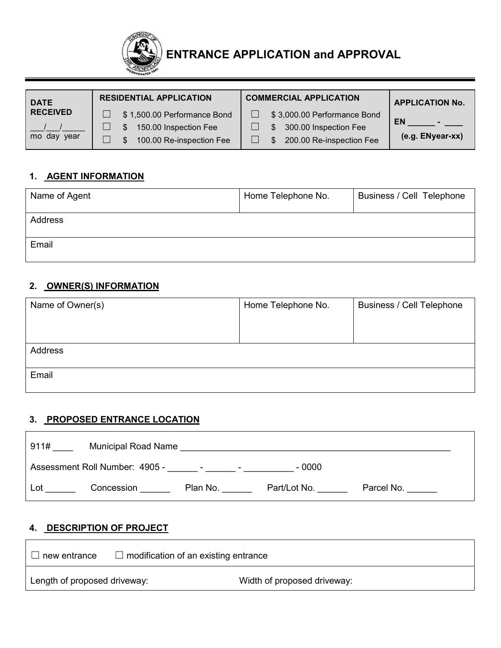

| <b>DATE</b>       | <b>RESIDENTIAL APPLICATION</b> | <b>COMMERCIAL APPLICATION</b> | <b>APPLICATION No.</b> |
|-------------------|--------------------------------|-------------------------------|------------------------|
| <b>RECEIVED</b>   | \$1,500.00 Performance Bond    | \$3,000.00 Performance Bond   | <b>EN</b>              |
|                   | 150.00 Inspection Fee          | 300.00 Inspection Fee         |                        |
| vear<br>day<br>mo | 100.00 Re-inspection Fee       | 200.00 Re-inspection Fee      | (e.g. ENyear-xx)       |

# 1. AGENT INFORMATION

| Name of Agent | Home Telephone No. | Business / Cell Telephone |
|---------------|--------------------|---------------------------|
| Address       |                    |                           |
| Email         |                    |                           |

### 2. OWNER(S) INFORMATION

| Name of Owner(s) | Home Telephone No. | <b>Business / Cell Telephone</b> |
|------------------|--------------------|----------------------------------|
|                  |                    |                                  |
|                  |                    |                                  |
|                  |                    |                                  |
| Address          |                    |                                  |
|                  |                    |                                  |
| Email            |                    |                                  |
|                  |                    |                                  |

#### 3. PROPOSED ENTRANCE LOCATION

| 911# | <b>Municipal Road Name</b>     |                  |              |            |
|------|--------------------------------|------------------|--------------|------------|
|      | Assessment Roll Number: 4905 - | $\sim$<br>$\sim$ | - 0000       |            |
| Lot  | Concession                     | Plan No.         | Part/Lot No. | Parcel No. |

# 4. DESCRIPTION OF PROJECT

| new entrance                 | $\Box$ modification of an existing entrance |                             |
|------------------------------|---------------------------------------------|-----------------------------|
| Length of proposed driveway: |                                             | Width of proposed driveway: |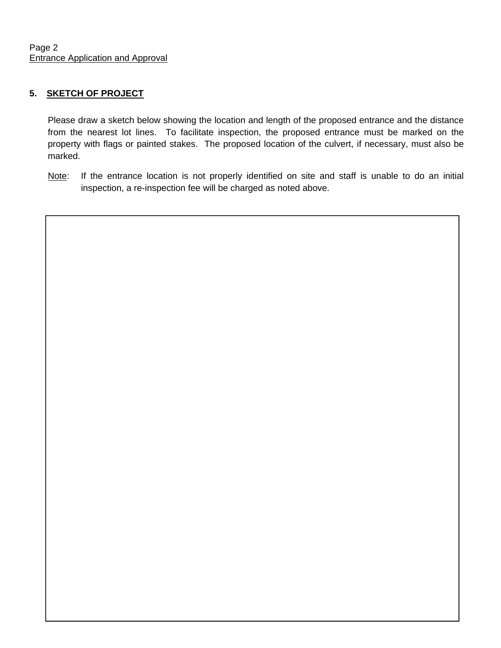### **5. SKETCH OF PROJECT**

Please draw a sketch below showing the location and length of the proposed entrance and the distance from the nearest lot lines. To facilitate inspection, the proposed entrance must be marked on the property with flags or painted stakes. The proposed location of the culvert, if necessary, must also be marked.

Note: If the entrance location is not properly identified on site and staff is unable to do an initial inspection, a re-inspection fee will be charged as noted above.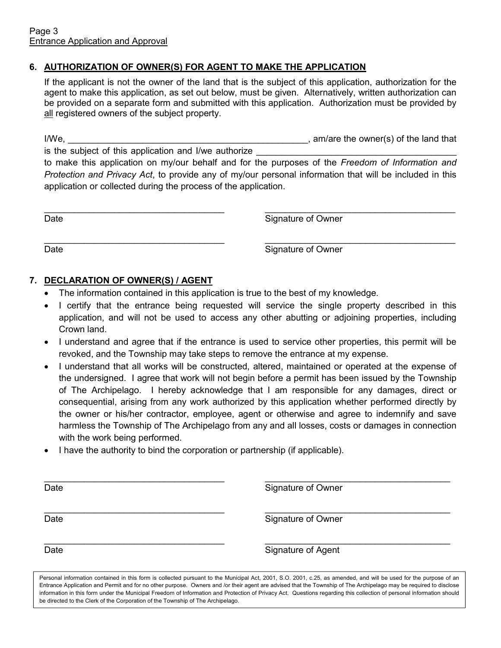#### 6. AUTHORIZATION OF OWNER(S) FOR AGENT TO MAKE THE APPLICATION

If the applicant is not the owner of the land that is the subject of this application, authorization for the agent to make this application, as set out below, must be given. Alternatively, written authorization can be provided on a separate form and submitted with this application. Authorization must be provided by all registered owners of the subject property.

I/We, the same state of the owner(s) of the land that  $\sim$  , am/are the owner(s) of the land that

is the subject of this application and I/we authorize

to make this application on my/our behalf and for the purposes of the *Freedom of Information and Protection and Privacy Act*, to provide any of my/our personal information that will be included in this application or collected during the process of the application.

\_\_\_\_\_\_\_\_\_\_\_\_\_\_\_\_\_\_\_\_\_\_\_\_\_\_\_\_\_\_\_\_\_\_\_\_ \_\_\_\_\_\_\_\_\_\_\_\_\_\_\_\_\_\_\_\_\_\_\_\_\_\_\_\_\_\_\_\_\_\_\_\_\_\_ Date **Date** Signature of Owner

\_\_\_\_\_\_\_\_\_\_\_\_\_\_\_\_\_\_\_\_\_\_\_\_\_\_\_\_\_\_\_\_\_\_\_\_ \_\_\_\_\_\_\_\_\_\_\_\_\_\_\_\_\_\_\_\_\_\_\_\_\_\_\_\_\_\_\_\_\_\_\_\_\_\_ Date **Signature of Owner** 

### 7. DECLARATION OF OWNER(S) / AGENT

- The information contained in this application is true to the best of my knowledge.
- I certify that the entrance being requested will service the single property described in this application, and will not be used to access any other abutting or adjoining properties, including Crown land.
- I understand and agree that if the entrance is used to service other properties, this permit will be revoked, and the Township may take steps to remove the entrance at my expense.
- I understand that all works will be constructed, altered, maintained or operated at the expense of the undersigned. I agree that work will not begin before a permit has been issued by the Township of The Archipelago. I hereby acknowledge that I am responsible for any damages, direct or consequential, arising from any work authorized by this application whether performed directly by the owner or his/her contractor, employee, agent or otherwise and agree to indemnify and save harmless the Township of The Archipelago from any and all losses, costs or damages in connection with the work being performed.
- I have the authority to bind the corporation or partnership (if applicable).

\_\_\_\_\_\_\_\_\_\_\_\_\_\_\_\_\_\_\_\_\_\_\_\_\_\_\_\_\_\_\_\_\_\_\_\_ \_\_\_\_\_\_\_\_\_\_\_\_\_\_\_\_\_\_\_\_\_\_\_\_\_\_\_\_\_\_\_\_\_\_\_\_\_ Date **Signature of Owner** \_\_\_\_\_\_\_\_\_\_\_\_\_\_\_\_\_\_\_\_\_\_\_\_\_\_\_\_\_\_\_\_\_\_\_\_ \_\_\_\_\_\_\_\_\_\_\_\_\_\_\_\_\_\_\_\_\_\_\_\_\_\_\_\_\_\_\_\_\_\_\_\_\_ Date **Signature of Owner** 

\_\_\_\_\_\_\_\_\_\_\_\_\_\_\_\_\_\_\_\_\_\_\_\_\_\_\_\_\_\_\_\_\_\_\_\_ \_\_\_\_\_\_\_\_\_\_\_\_\_\_\_\_\_\_\_\_\_\_\_\_\_\_\_\_\_\_\_\_\_\_\_\_\_ Date **Signature of Agent** 

Personal information contained in this form is collected pursuant to the Municipal Act, 2001, S.O. 2001, c.25, as amended, and will be used for the purpose of an Entrance Application and Permit and for no other purpose. Owners and /or their agent are advised that the Township of The Archipelago may be required to disclose information in this form under the Municipal Freedom of Information and Protection of Privacy Act. Questions regarding this collection of personal information should be directed to the Clerk of the Corporation of the Township of The Archipelago.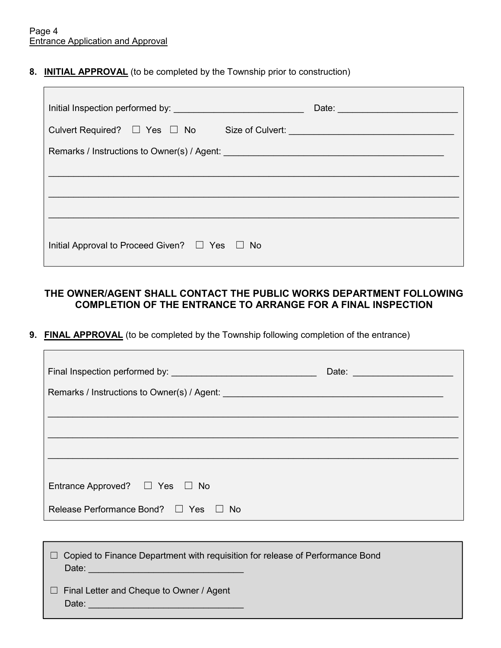$\blacksquare$ 

 $\mathsf{r}$ 

#### 8. INITIAL APPROVAL (to be completed by the Township prior to construction)

|                                                                                  | Date: |
|----------------------------------------------------------------------------------|-------|
| Culvert Required? □ Yes □ No Size of Culvert: __________________________________ |       |
|                                                                                  |       |
|                                                                                  |       |
|                                                                                  |       |
|                                                                                  |       |
| Initial Approval to Proceed Given? $\Box$ Yes $\Box$ No                          |       |

### THE OWNER/AGENT SHALL CONTACT THE PUBLIC WORKS DEPARTMENT FOLLOWING COMPLETION OF THE ENTRANCE TO ARRANGE FOR A FINAL INSPECTION

### 9. FINAL APPROVAL (to be completed by the Township following completion of the entrance)

| Final Inspection performed by: <b>Final Inspection performed by: Final Instance of Algebra</b> | Date: and the contract of the contract of the contract of the contract of the contract of the contract of the contract of the contract of the contract of the contract of the contract of the contract of the contract of the |
|------------------------------------------------------------------------------------------------|-------------------------------------------------------------------------------------------------------------------------------------------------------------------------------------------------------------------------------|
|                                                                                                |                                                                                                                                                                                                                               |
|                                                                                                |                                                                                                                                                                                                                               |
|                                                                                                |                                                                                                                                                                                                                               |
|                                                                                                |                                                                                                                                                                                                                               |
| Entrance Approved? $\Box$ Yes $\Box$ No                                                        |                                                                                                                                                                                                                               |
| Release Performance Bond? □ Yes □ No                                                           |                                                                                                                                                                                                                               |

| $\Box$ Copied to Finance Department with requisition for release of Performance Bond<br>Date: <u>Date: Electronic Contract Contract Contract Contract Contract Contract Contract Contract Contract Contract Contract Contract Contract Contract Contract Contract Contract Contract Contract Contract Contract Contract </u> |
|------------------------------------------------------------------------------------------------------------------------------------------------------------------------------------------------------------------------------------------------------------------------------------------------------------------------------|
| $\Box$ Final Letter and Cheque to Owner / Agent<br>Date:                                                                                                                                                                                                                                                                     |